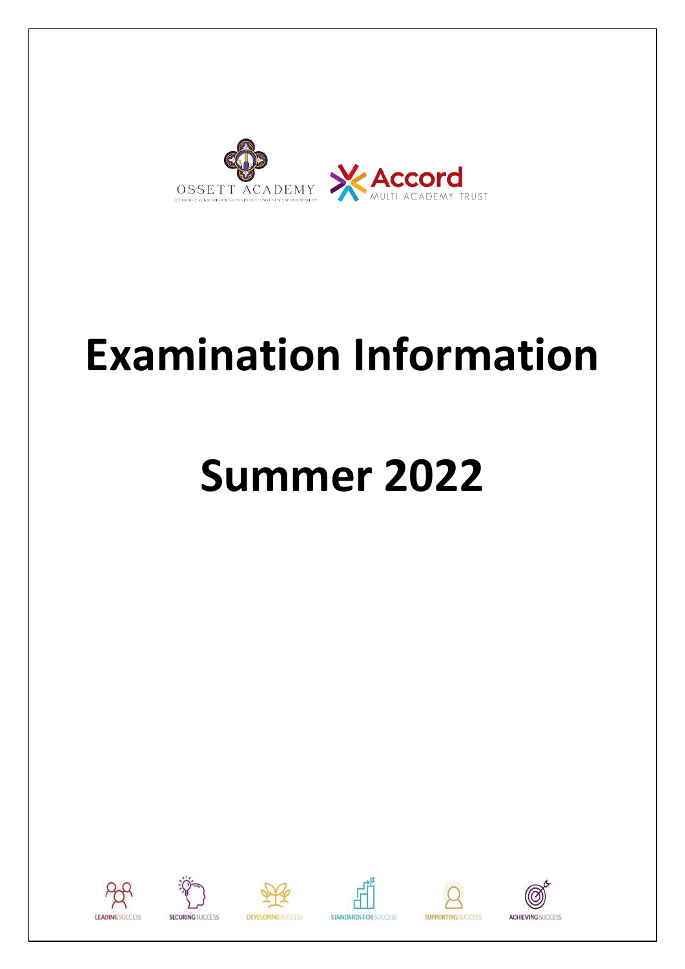

# **Examination Information**

# **Summer 2022**















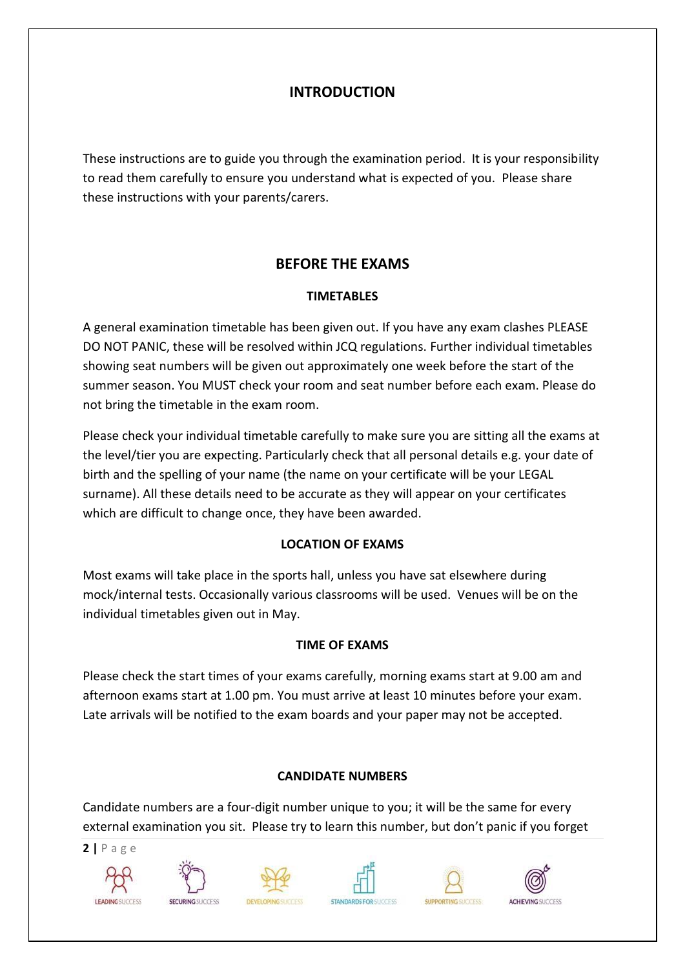## **INTRODUCTION**

These instructions are to guide you through the examination period. It is your responsibility to read them carefully to ensure you understand what is expected of you. Please share these instructions with your parents/carers.

## **BEFORE THE EXAMS**

## **TIMETABLES**

A general examination timetable has been given out. If you have any exam clashes PLEASE DO NOT PANIC, these will be resolved within JCQ regulations. Further individual timetables showing seat numbers will be given out approximately one week before the start of the summer season. You MUST check your room and seat number before each exam. Please do not bring the timetable in the exam room.

Please check your individual timetable carefully to make sure you are sitting all the exams at the level/tier you are expecting. Particularly check that all personal details e.g. your date of birth and the spelling of your name (the name on your certificate will be your LEGAL surname). All these details need to be accurate as they will appear on your certificates which are difficult to change once, they have been awarded.

## **LOCATION OF EXAMS**

Most exams will take place in the sports hall, unless you have sat elsewhere during mock/internal tests. Occasionally various classrooms will be used. Venues will be on the individual timetables given out in May.

## **TIME OF EXAMS**

Please check the start times of your exams carefully, morning exams start at 9.00 am and afternoon exams start at 1.00 pm. You must arrive at least 10 minutes before your exam. Late arrivals will be notified to the exam boards and your paper may not be accepted.

## **CANDIDATE NUMBERS**

Candidate numbers are a four-digit number unique to you; it will be the same for every external examination you sit. Please try to learn this number, but don't panic if you forget











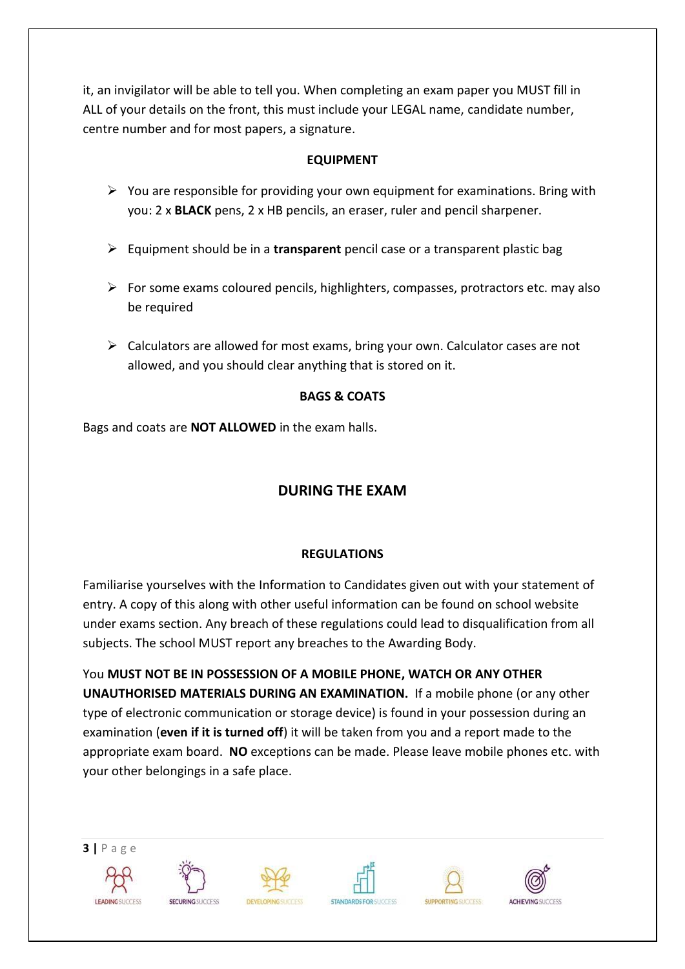it, an invigilator will be able to tell you. When completing an exam paper you MUST fill in ALL of your details on the front, this must include your LEGAL name, candidate number, centre number and for most papers, a signature.

## **EQUIPMENT**

- $\triangleright$  You are responsible for providing your own equipment for examinations. Bring with you: 2 x **BLACK** pens, 2 x HB pencils, an eraser, ruler and pencil sharpener.
- ➢ Equipment should be in a **transparent** pencil case or a transparent plastic bag
- ➢ For some exams coloured pencils, highlighters, compasses, protractors etc. may also be required
- $\triangleright$  Calculators are allowed for most exams, bring your own. Calculator cases are not allowed, and you should clear anything that is stored on it.

## **BAGS & COATS**

Bags and coats are **NOT ALLOWED** in the exam halls.

## **DURING THE EXAM**

## **REGULATIONS**

Familiarise yourselves with the Information to Candidates given out with your statement of entry. A copy of this along with other useful information can be found on school website under exams section. Any breach of these regulations could lead to disqualification from all subjects. The school MUST report any breaches to the Awarding Body.

You **MUST NOT BE IN POSSESSION OF A MOBILE PHONE, WATCH OR ANY OTHER UNAUTHORISED MATERIALS DURING AN EXAMINATION.** If a mobile phone (or any other type of electronic communication or storage device) is found in your possession during an examination (**even if it is turned off**) it will be taken from you and a report made to the appropriate exam board. **NO** exceptions can be made. Please leave mobile phones etc. with your other belongings in a safe place.

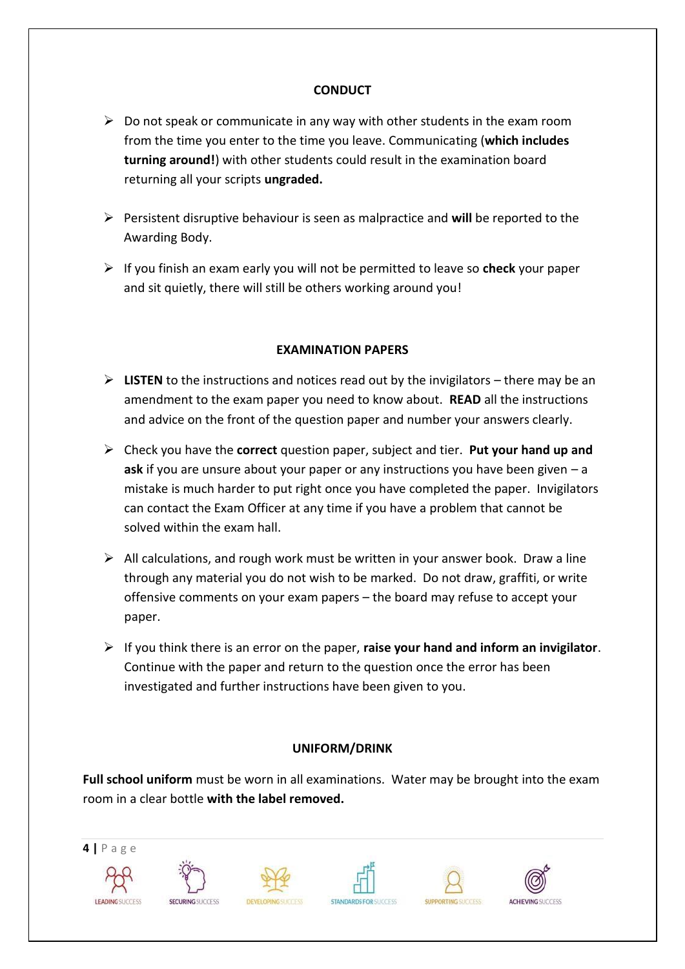#### **CONDUCT**

- $\triangleright$  Do not speak or communicate in any way with other students in the exam room from the time you enter to the time you leave. Communicating (**which includes turning around!**) with other students could result in the examination board returning all your scripts **ungraded.**
- ➢ Persistent disruptive behaviour is seen as malpractice and **will** be reported to the Awarding Body.
- ➢ If you finish an exam early you will not be permitted to leave so **check** your paper and sit quietly, there will still be others working around you!

## **EXAMINATION PAPERS**

- $\triangleright$  **LISTEN** to the instructions and notices read out by the invigilators there may be an amendment to the exam paper you need to know about. **READ** all the instructions and advice on the front of the question paper and number your answers clearly.
- ➢ Check you have the **correct** question paper, subject and tier. **Put your hand up and ask** if you are unsure about your paper or any instructions you have been given – a mistake is much harder to put right once you have completed the paper. Invigilators can contact the Exam Officer at any time if you have a problem that cannot be solved within the exam hall.
- $\triangleright$  All calculations, and rough work must be written in your answer book. Draw a line through any material you do not wish to be marked. Do not draw, graffiti, or write offensive comments on your exam papers – the board may refuse to accept your paper.
- ➢ If you think there is an error on the paper, **raise your hand and inform an invigilator**. Continue with the paper and return to the question once the error has been investigated and further instructions have been given to you.

## **UNIFORM/DRINK**

**Full school uniform** must be worn in all examinations. Water may be brought into the exam room in a clear bottle **with the label removed.**

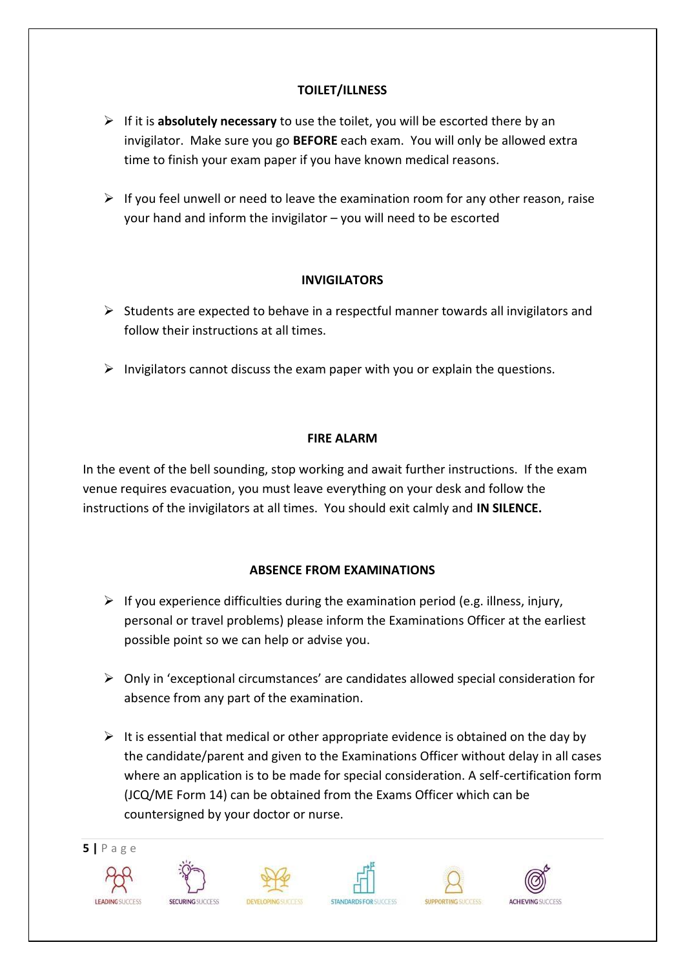## **TOILET/ILLNESS**

- ➢ If it is **absolutely necessary** to use the toilet, you will be escorted there by an invigilator. Make sure you go **BEFORE** each exam. You will only be allowed extra time to finish your exam paper if you have known medical reasons.
- $\triangleright$  If you feel unwell or need to leave the examination room for any other reason, raise your hand and inform the invigilator – you will need to be escorted

#### **INVIGILATORS**

- $\triangleright$  Students are expected to behave in a respectful manner towards all invigilators and follow their instructions at all times.
- $\triangleright$  Invigilators cannot discuss the exam paper with you or explain the questions.

#### **FIRE ALARM**

In the event of the bell sounding, stop working and await further instructions. If the exam venue requires evacuation, you must leave everything on your desk and follow the instructions of the invigilators at all times. You should exit calmly and **IN SILENCE.**

## **ABSENCE FROM EXAMINATIONS**

- $\triangleright$  If you experience difficulties during the examination period (e.g. illness, injury, personal or travel problems) please inform the Examinations Officer at the earliest possible point so we can help or advise you.
- ➢ Only in 'exceptional circumstances' are candidates allowed special consideration for absence from any part of the examination.
- $\triangleright$  It is essential that medical or other appropriate evidence is obtained on the day by the candidate/parent and given to the Examinations Officer without delay in all cases where an application is to be made for special consideration. A self-certification form (JCQ/ME Form 14) can be obtained from the Exams Officer which can be countersigned by your doctor or nurse.

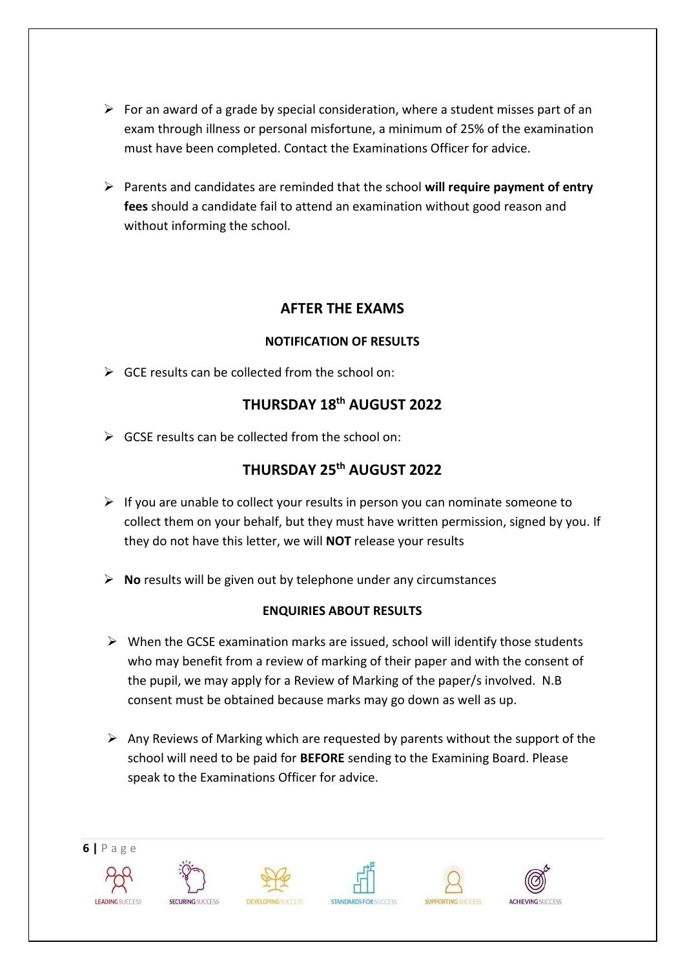- $\triangleright$  For an award of a grade by special consideration, where a student misses part of an exam through illness or personal misfortune, a minimum of 25% of the examination must have been completed. Contact the Examinations Officer for advice.
- ➢ Parents and candidates are reminded that the school **will require payment of entry fees** should a candidate fail to attend an examination without good reason and without informing the school.

## **AFTER THE EXAMS**

## **NOTIFICATION OF RESULTS**

 $\triangleright$  GCE results can be collected from the school on:

## **THURSDAY 18th AUGUST 2022**

 $\triangleright$  GCSE results can be collected from the school on:

## **THURSDAY 25 th AUGUST 2022**

- $\triangleright$  If you are unable to collect your results in person you can nominate someone to collect them on your behalf, but they must have written permission, signed by you. If they do not have this letter, we will **NOT** release your results
- ➢ **No** results will be given out by telephone under any circumstances

## **ENQUIRIES ABOUT RESULTS**

- $\triangleright$  When the GCSE examination marks are issued, school will identify those students who may benefit from a review of marking of their paper and with the consent of the pupil, we may apply for a Review of Marking of the paper/s involved. N.B consent must be obtained because marks may go down as well as up.
- $\triangleright$  Any Reviews of Marking which are requested by parents without the support of the school will need to be paid for **BEFORE** sending to the Examining Board. Please speak to the Examinations Officer for advice.

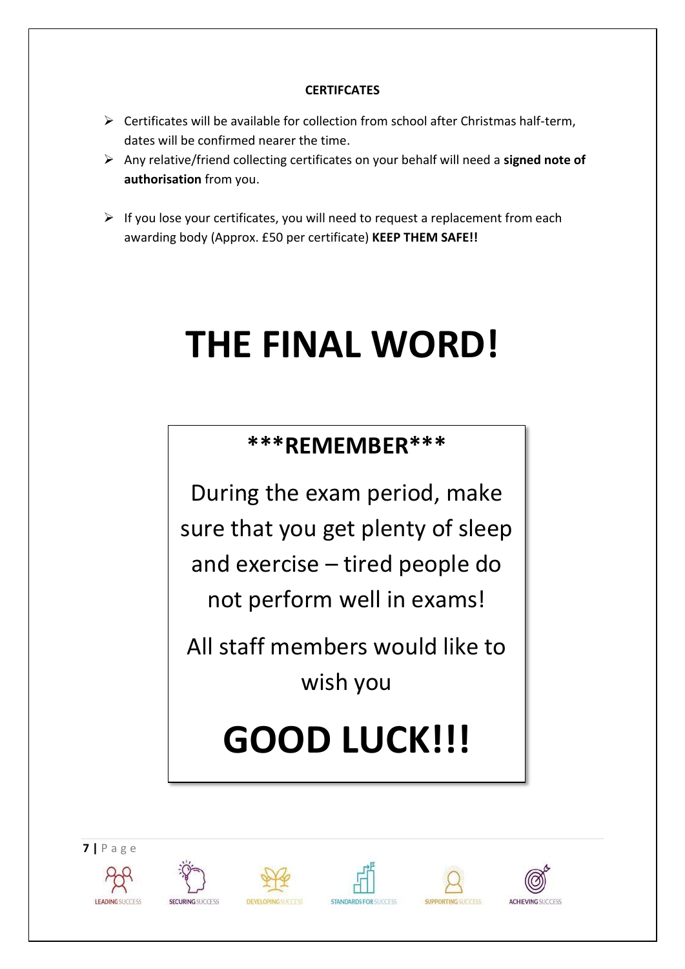## **CERTIFCATES**

- $\triangleright$  Certificates will be available for collection from school after Christmas half-term, dates will be confirmed nearer the time.
- ➢ Any relative/friend collecting certificates on your behalf will need a **signed note of authorisation** from you.
- $\triangleright$  If you lose your certificates, you will need to request a replacement from each awarding body (Approx. £50 per certificate) **KEEP THEM SAFE!!**

## **THE FINAL WORD!**

## **\*\*\*REMEMBER\*\*\***

During the exam period, make sure that you get plenty of sleep and exercise – tired people do not perform well in exams!

All staff members would like to wish you

## **GOOD LUCK!!!**











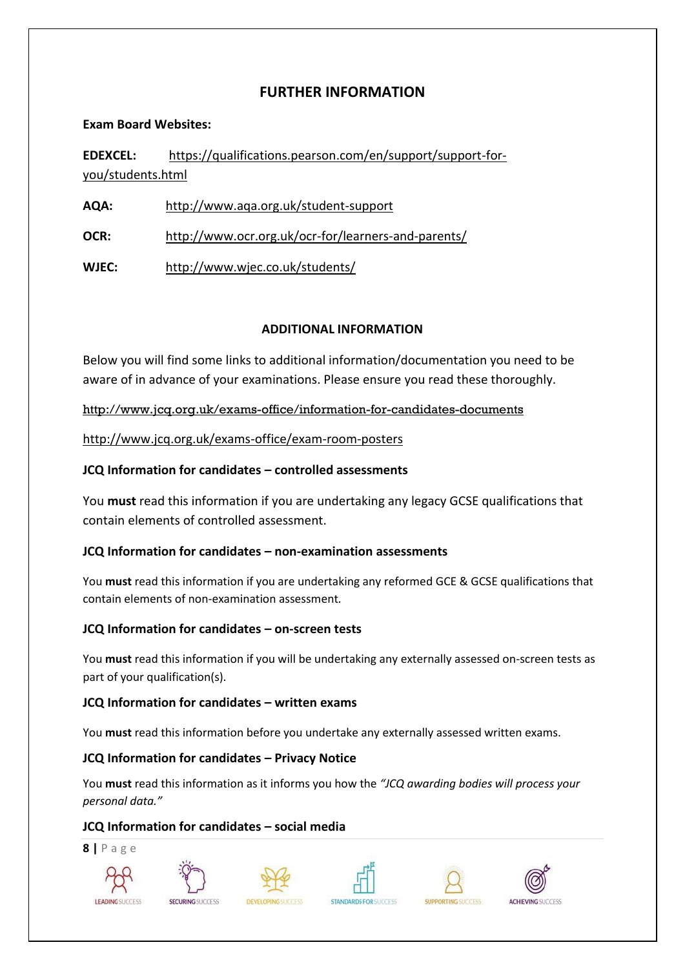## **FURTHER INFORMATION**

#### **Exam Board Websites:**

**EDEXCEL:** https://qualifications.pearson.com/en/support/support-foryou/students.html

**AQA:** <http://www.aqa.org.uk/student-support>

**OCR:** <http://www.ocr.org.uk/ocr-for/learners-and-parents/>

**WJEC:** <http://www.wjec.co.uk/students/>

## **ADDITIONAL INFORMATION**

Below you will find some links to additional information/documentation you need to be aware of in advance of your examinations. Please ensure you read these thoroughly.

<http://www.jcq.org.uk/exams-office/information-for-candidates-documents>

<http://www.jcq.org.uk/exams-office/exam-room-posters>

## **JCQ Information for candidates – controlled assessments**

You **must** read this information if you are undertaking any legacy GCSE qualifications that contain elements of controlled assessment.

## **JCQ Information for candidates – non-examination assessments**

You **must** read this information if you are undertaking any reformed GCE & GCSE qualifications that contain elements of non-examination assessment*.* 

## **JCQ Information for candidates – on-screen tests**

You **must** read this information if you will be undertaking any externally assessed on-screen tests as part of your qualification(s).

## **JCQ Information for candidates – written exams**

You **must** read this information before you undertake any externally assessed written exams.

## **JCQ Information for candidates – Privacy Notice**

You **must** read this information as it informs you how the *"JCQ awarding bodies will process your personal data."* 

## **JCQ Information for candidates – social media**

**8 |** P a g e